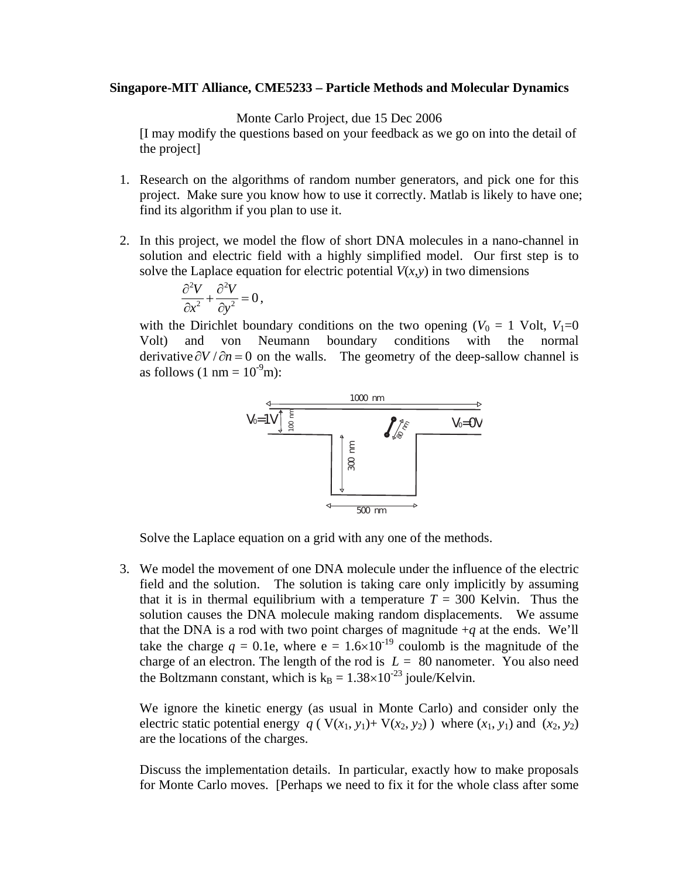## **Singapore-MIT Alliance, CME5233 – Particle Methods and Molecular Dynamics**

Monte Carlo Project, due 15 Dec 2006

[I may modify the questions based on your feedback as we go on into the detail of the project]

- 1. Research on the algorithms of random number generators, and pick one for this project. Make sure you know how to use it correctly. Matlab is likely to have one; find its algorithm if you plan to use it.
- 2. In this project, we model the flow of short DNA molecules in a nano-channel in solution and electric field with a highly simplified model. Our first step is to solve the Laplace equation for electric potential  $V(x, y)$  in two dimensions

$$
\frac{\partial^2 V}{\partial x^2} + \frac{\partial^2 V}{\partial y^2} = 0,
$$

with the Dirichlet boundary conditions on the two opening  $(V_0 = 1 \text{ Volt}, V_1=0$ Volt) and von Neumann boundary conditions with the normal derivative  $\partial V / \partial n = 0$  on the walls. The geometry of the deep-sallow channel is as follows  $(1 \text{ nm} = 10^{-9} \text{m})$ :



Solve the Laplace equation on a grid with any one of the methods.

3. We model the movement of one DNA molecule under the influence of the electric field and the solution. The solution is taking care only implicitly by assuming that it is in thermal equilibrium with a temperature  $T = 300$  Kelvin. Thus the solution causes the DNA molecule making random displacements. We assume that the DNA is a rod with two point charges of magnitude  $+q$  at the ends. We'll take the charge  $q = 0.1e$ , where  $e = 1.6 \times 10^{-19}$  coulomb is the magnitude of the charge of an electron. The length of the rod is  $L = 80$  nanometer. You also need the Boltzmann constant, which is  $k_B = 1.38 \times 10^{-23}$  joule/Kelvin.

We ignore the kinetic energy (as usual in Monte Carlo) and consider only the electric static potential energy  $q$  ( $V(x_1, y_1) + V(x_2, y_2)$ ) where  $(x_1, y_1)$  and  $(x_2, y_2)$ are the locations of the charges.

Discuss the implementation details. In particular, exactly how to make proposals for Monte Carlo moves. [Perhaps we need to fix it for the whole class after some